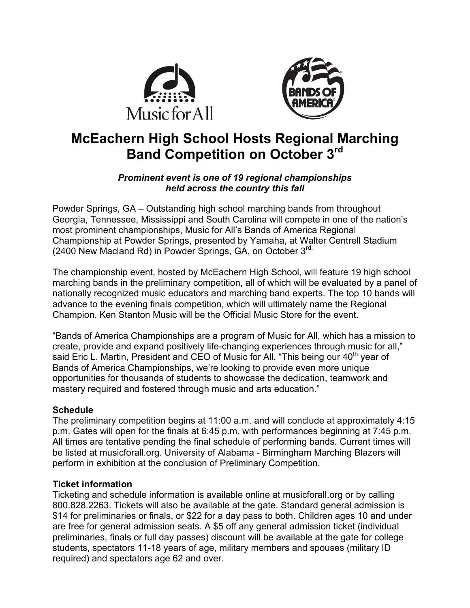



# **McEachern High School Hosts Regional Marching Band Competition on October 3rd**

### *Prominent event is one of 19 regional championships held across the country this fall*

Powder Springs, GA – Outstanding high school marching bands from throughout Georgia, Tennessee, Mississippi and South Carolina will compete in one of the nation's most prominent championships, Music for All's Bands of America Regional Championship at Powder Springs, presented by Yamaha, at Walter Centrell Stadium (2400 New Macland Rd) in Powder Springs, GA, on October 3<sup>rd.</sup>

The championship event, hosted by McEachern High School, will feature 19 high school marching bands in the preliminary competition, all of which will be evaluated by a panel of nationally recognized music educators and marching band experts. The top 10 bands will advance to the evening finals competition, which will ultimately name the Regional Champion. Ken Stanton Music will be the Official Music Store for the event.

"Bands of America Championships are a program of Music for All, which has a mission to create, provide and expand positively life-changing experiences through music for all," said Eric L. Martin, President and CEO of Music for All. "This being our  $40<sup>th</sup>$  year of Bands of America Championships, we're looking to provide even more unique opportunities for thousands of students to showcase the dedication, teamwork and mastery required and fostered through music and arts education."

## **Schedule**

The preliminary competition begins at 11:00 a.m. and will conclude at approximately 4:15 p.m. Gates will open for the finals at 6:45 p.m. with performances beginning at 7:45 p.m. All times are tentative pending the final schedule of performing bands. Current times will be listed at musicforall.org. University of Alabama - Birmingham Marching Blazers will perform in exhibition at the conclusion of Preliminary Competition.

## **Ticket information**

Ticketing and schedule information is available online at musicforall.org or by calling 800.828.2263. Tickets will also be available at the gate. Standard general admission is \$14 for preliminaries or finals, or \$22 for a day pass to both. Children ages 10 and under are free for general admission seats. A \$5 off any general admission ticket (individual preliminaries, finals or full day passes) discount will be available at the gate for college students, spectators 11-18 years of age, military members and spouses (military ID required) and spectators age 62 and over.